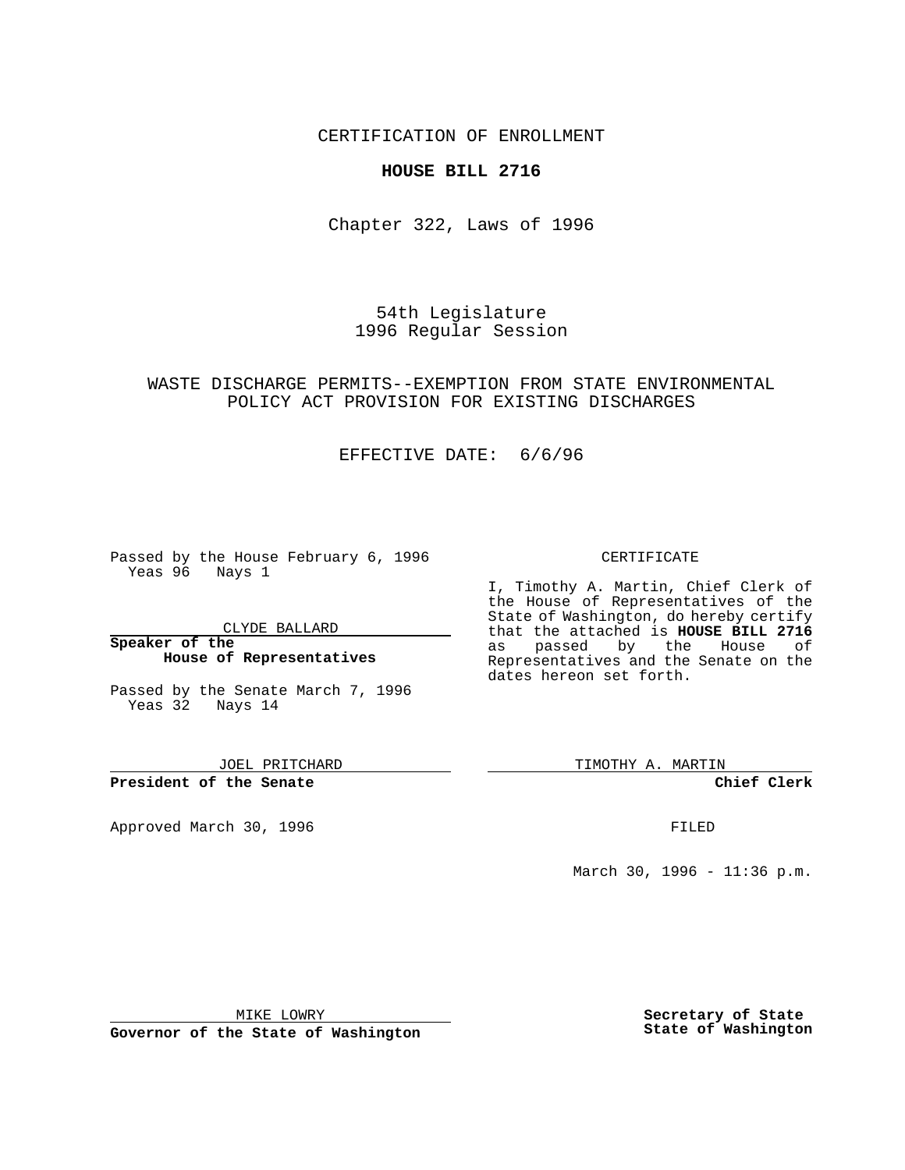## CERTIFICATION OF ENROLLMENT

## **HOUSE BILL 2716**

Chapter 322, Laws of 1996

54th Legislature 1996 Regular Session

## WASTE DISCHARGE PERMITS--EXEMPTION FROM STATE ENVIRONMENTAL POLICY ACT PROVISION FOR EXISTING DISCHARGES

## EFFECTIVE DATE: 6/6/96

Passed by the House February 6, 1996 Yeas 96 Nays 1

CLYDE BALLARD

#### **Speaker of the House of Representatives**

Passed by the Senate March 7, 1996 Yeas 32 Nays 14

JOEL PRITCHARD

**President of the Senate**

Approved March 30, 1996 FILED

### CERTIFICATE

I, Timothy A. Martin, Chief Clerk of the House of Representatives of the State of Washington, do hereby certify that the attached is **HOUSE BILL 2716**<br>as passed by the House of by the House of Representatives and the Senate on the dates hereon set forth.

TIMOTHY A. MARTIN

**Chief Clerk**

March 30, 1996 - 11:36 p.m.

MIKE LOWRY

**Governor of the State of Washington**

**Secretary of State State of Washington**